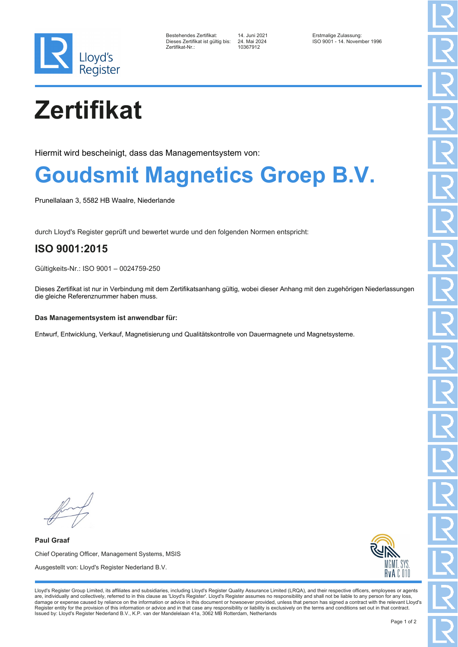

| Bestehendes Zertifikat:          |  |
|----------------------------------|--|
| Dieses Zertifikat ist gültig bi: |  |
| Zertifikat-Nr∴                   |  |

Zertifikat-Nr.: 10367912

Bestehendes Zertifikat: 14. Juni 2021 Erstmalige Zulassung: Dieses Zertifikat ist gültig bis: 24. Mai 2024 ISO 9001 - 14. November 1996

# **Zertifikat**

Hiermit wird bescheinigt, dass das Managementsystem von:

### **Goudsmit Magnetics Groep B.V.**

Prunellalaan 3, 5582 HB Waalre, Niederlande

durch Lloyd's Register geprüft und bewertet wurde und den folgenden Normen entspricht:

### **ISO 9001:2015**

Gültigkeits-Nr.: ISO 9001 – 0024759-250

Dieses Zertifikat ist nur in Verbindung mit dem Zertifikatsanhang gültig, wobei dieser Anhang mit den zugehörigen Niederlassungen die gleiche Referenznummer haben muss.

#### **Das Managementsystem ist anwendbar für:**

Entwurf, Entwicklung, Verkauf, Magnetisierung und Qualitätskontrolle von Dauermagnete und Magnetsysteme.

**Paul Graaf** Chief Operating Officer, Management Systems, MSIS Ausgestellt von: Lloyd's Register Nederland B.V.



Lloyd's Register Group Limited, its affiliates and subsidiaries, including Lloyd's Register Quality Assurance Limited (LRQA), and their respective officers, employees or agents are, individually and collectively, referred to in this clause as 'Lloyd's Register'. Lloyd's Register assumes no responsibility and shall not be liable to any person for any loss,<br>damage or expense caused by reliance on t Register entity for the provision of this information or advice and in that case any responsibility or liability is exclusively on the terms and conditions set out in that contract. Issued by: Lloyd's Register Nederland B.V., K.P. van der Mandelelaan 41a, 3062 MB Rotterdam, Netherlands